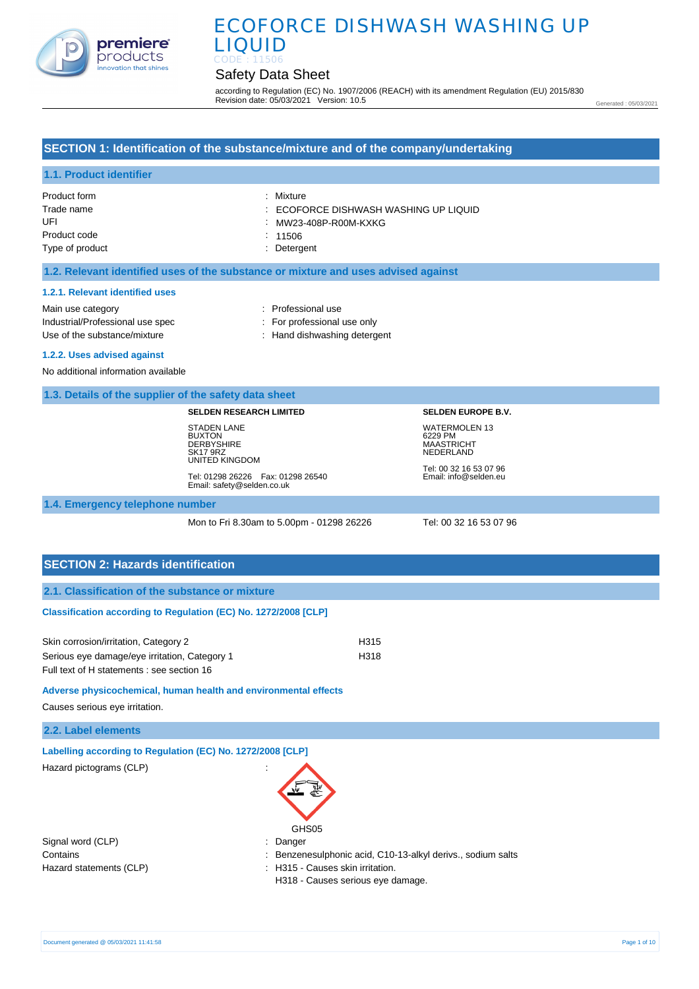

# Safety Data Sheet

according to Regulation (EC) No. 1907/2006 (REACH) with its amendment Regulation (EU) 2015/830 Revision date: 05/03/2021 Version: 10.5

Generated : 05/03/2021

## **SECTION 1: Identification of the substance/mixture and of the company/undertaking**

# **1.1. Product identifier**

| Product form    | : Mixture                             |
|-----------------|---------------------------------------|
| Trade name      | : ECOFORCE DISHWASH WASHING UP LIQUID |
| UFI             | : MW23-408P-R00M-KXKG                 |
| Product code    | $\therefore$ 11506                    |
| Type of product | : Detergent                           |

#### **1.2. Relevant identified uses of the substance or mixture and uses advised against**

#### **1.2.1. Relevant identified uses**

Main use category **Example 20** and 20 and 20 and 20 and 20 and 20 and 20 and 20 and 20 and 20 and 20 and 20 and 20 and 20 and 20 and 20 and 20 and 20 and 20 and 20 and 20 and 20 and 20 and 20 and 20 and 20 and 20 and 20 an Industrial/Professional use spec : For professional use only Use of the substance/mixture in the substance in the set of the substance/mixture in the set of the substance

#### **1.2.2. Uses advised against**

No additional information available

#### **1.3. Details of the supplier of the safety data sheet**

#### **SELDEN RESEARCH LIMITED**

STADEN LANE BUXTON **DERBYSHIRE** SK17 9RZ UNITED KINGDOM

Tel: 01298 26226 Fax: 01298 26540 Email: safety@selden.co.uk

**SELDEN EUROPE B.V.** WATERMOLEN 13 6229 PM MAASTRICHT NEDERLAND

Tel: 00 32 16 53 07 96 Email: info@selden.eu

# **1.4. Emergency telephone number**

Mon to Fri 8.30am to 5.00pm - 01298 26226 Tel: 00 32 16 53 07 96

**SECTION 2: Hazards identification 2.1. Classification of the substance or mixture Classification according to Regulation (EC) No. 1272/2008 [CLP]** 

| Skin corrosion/irritation, Category 2         | H315 |
|-----------------------------------------------|------|
| Serious eye damage/eye irritation, Category 1 | H318 |
| Full text of H statements : see section 16    |      |

## **Adverse physicochemical, human health and environmental effects**

Causes serious eye irritation.

|  |  | 2.2. Label elements |  |
|--|--|---------------------|--|
|--|--|---------------------|--|

| Labelling according to Regulation (EC) No. 1272/2008 [CLP] |                                                             |
|------------------------------------------------------------|-------------------------------------------------------------|
| Hazard pictograms (CLP)                                    | ÷                                                           |
|                                                            | GHS05                                                       |
| Signal word (CLP)                                          | : Danger                                                    |
| Contains                                                   | : Benzenesulphonic acid, C10-13-alkyl derivs., sodium salts |

Hazard statements (CLP)  $\qquad \qquad$ : H315 - Causes skin irritation.

H318 - Causes serious eye damage.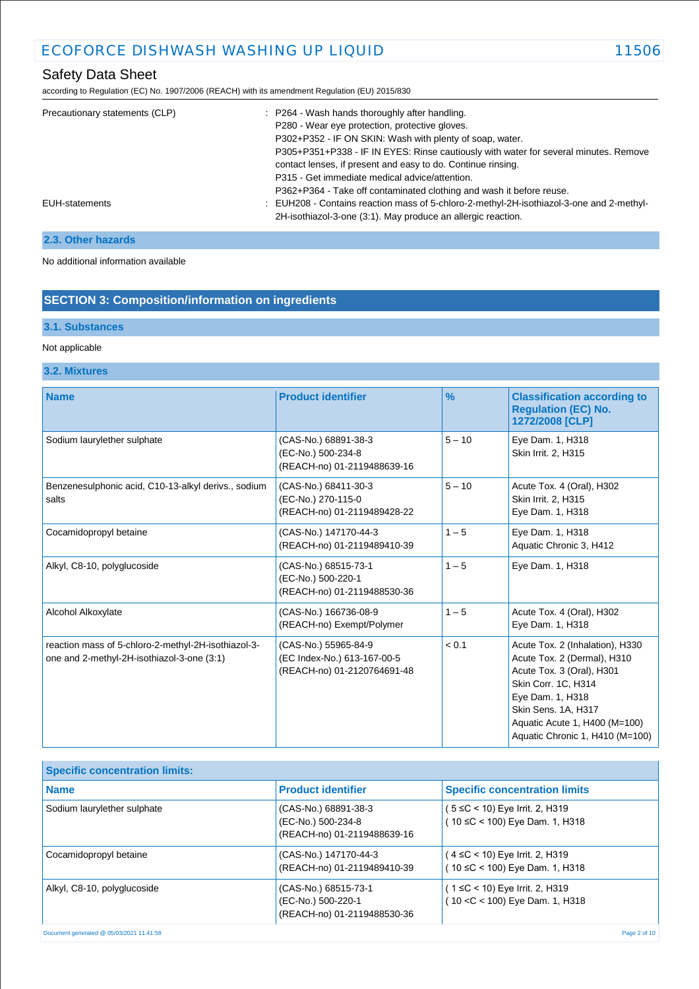# Safety Data Sheet

according to Regulation (EC) No. 1907/2006 (REACH) with its amendment Regulation (EU) 2015/830

| Precautionary statements (CLP) | : P264 - Wash hands thoroughly after handling.<br>P280 - Wear eye protection, protective gloves.<br>P302+P352 - IF ON SKIN: Wash with plenty of soap, water.<br>P305+P351+P338 - IF IN EYES: Rinse cautiously with water for several minutes. Remove<br>contact lenses, if present and easy to do. Continue rinsing.<br>P315 - Get immediate medical advice/attention. |
|--------------------------------|------------------------------------------------------------------------------------------------------------------------------------------------------------------------------------------------------------------------------------------------------------------------------------------------------------------------------------------------------------------------|
| EUH-statements                 | P362+P364 - Take off contaminated clothing and wash it before reuse.<br>: EUH208 - Contains reaction mass of 5-chloro-2-methyl-2H-isothiazol-3-one and 2-methyl-<br>2H-isothiazol-3-one (3:1). May produce an allergic reaction.                                                                                                                                       |

# **2.3. Other hazards**

No additional information available

# **SECTION 3: Composition/information on ingredients**

# **3.1. Substances**

## Not applicable

# **3.2. Mixtures**

| <b>Name</b>                                                                                       | <b>Product identifier</b>                                                          | $\frac{9}{6}$ | <b>Classification according to</b><br><b>Regulation (EC) No.</b><br>1272/2008 [CLP]                                                                                                                                               |
|---------------------------------------------------------------------------------------------------|------------------------------------------------------------------------------------|---------------|-----------------------------------------------------------------------------------------------------------------------------------------------------------------------------------------------------------------------------------|
| Sodium laurylether sulphate                                                                       | (CAS-No.) 68891-38-3<br>(EC-No.) 500-234-8<br>(REACH-no) 01-2119488639-16          | $5 - 10$      | Eye Dam. 1, H318<br>Skin Irrit. 2, H315                                                                                                                                                                                           |
| Benzenesulphonic acid, C10-13-alkyl derivs., sodium<br>salts                                      | (CAS-No.) 68411-30-3<br>(EC-No.) 270-115-0<br>(REACH-no) 01-2119489428-22          | $5 - 10$      | Acute Tox. 4 (Oral), H302<br>Skin Irrit. 2, H315<br>Eye Dam. 1, H318                                                                                                                                                              |
| Cocamidopropyl betaine                                                                            | (CAS-No.) 147170-44-3<br>(REACH-no) 01-2119489410-39                               | $1 - 5$       | Eye Dam. 1, H318<br>Aquatic Chronic 3, H412                                                                                                                                                                                       |
| Alkyl, C8-10, polyglucoside                                                                       | (CAS-No.) 68515-73-1<br>(EC-No.) 500-220-1<br>(REACH-no) 01-2119488530-36          | $1 - 5$       | Eye Dam. 1, H318                                                                                                                                                                                                                  |
| Alcohol Alkoxylate                                                                                | (CAS-No.) 166736-08-9<br>(REACH-no) Exempt/Polymer                                 | $1 - 5$       | Acute Tox. 4 (Oral), H302<br>Eye Dam. 1, H318                                                                                                                                                                                     |
| reaction mass of 5-chloro-2-methyl-2H-isothiazol-3-<br>one and 2-methyl-2H-isothiazol-3-one (3:1) | (CAS-No.) 55965-84-9<br>(EC Index-No.) 613-167-00-5<br>(REACH-no) 01-2120764691-48 | < 0.1         | Acute Tox. 2 (Inhalation), H330<br>Acute Tox. 2 (Dermal), H310<br>Acute Tox. 3 (Oral), H301<br>Skin Corr. 1C, H314<br>Eye Dam. 1, H318<br>Skin Sens. 1A, H317<br>Aquatic Acute 1, H400 (M=100)<br>Aquatic Chronic 1, H410 (M=100) |

| <b>Specific concentration limits:</b>    |                                                                           |                                                                       |
|------------------------------------------|---------------------------------------------------------------------------|-----------------------------------------------------------------------|
| <b>Name</b>                              | <b>Product identifier</b>                                                 | <b>Specific concentration limits</b>                                  |
| Sodium laurylether sulphate              | (CAS-No.) 68891-38-3<br>(EC-No.) 500-234-8<br>(REACH-no) 01-2119488639-16 | (5 ≤C < 10) Eye Irrit. 2, H319<br>10 $\leq$ C < 100) Eye Dam. 1, H318 |
| Cocamidopropyl betaine                   | (CAS-No.) 147170-44-3<br>(REACH-no) 01-2119489410-39                      | (4 ≤C < 10) Eye Irrit. 2, H319<br>(10 ≤C < 100) Eye Dam. 1, H318      |
| Alkyl, C8-10, polyglucoside              | (CAS-No.) 68515-73-1<br>(EC-No.) 500-220-1<br>(REACH-no) 01-2119488530-36 | (1 ≤C < 10) Eye Irrit. 2, H319<br>10 < C < 100) Eye Dam. 1, H318      |
| Document generated @ 05/03/2021 11:41:58 |                                                                           | Page 2 of 10                                                          |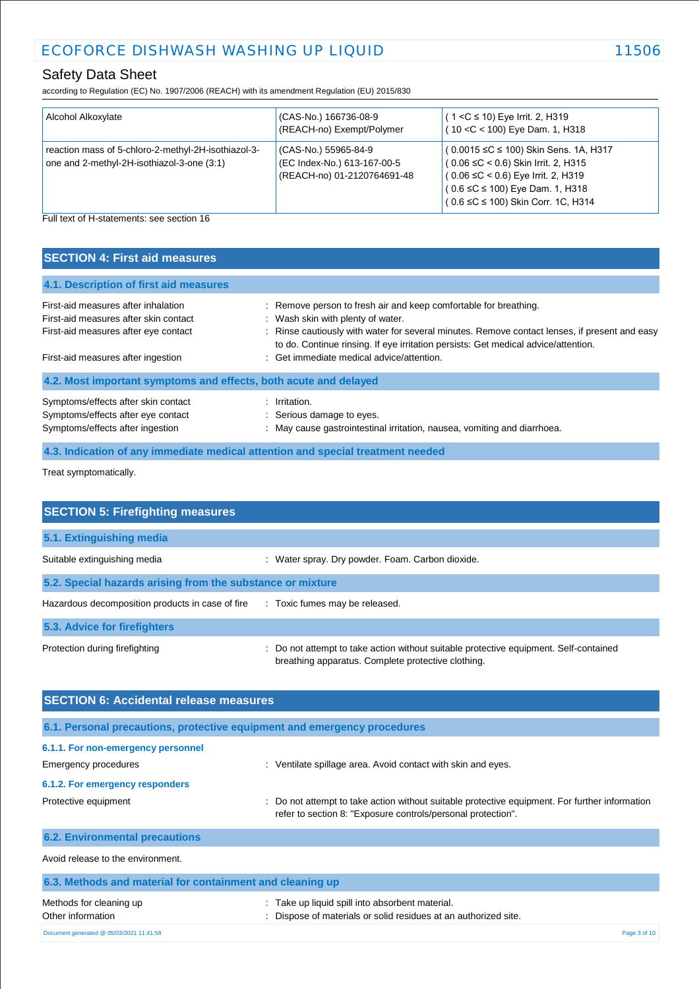# Safety Data Sheet

according to Regulation (EC) No. 1907/2006 (REACH) with its amendment Regulation (EU) 2015/830

| Alcohol Alkoxylate                                                                                | (CAS-No.) 166736-08-9<br>(REACH-no) Exempt/Polymer                                 | $(1 < C \le 10)$ Eye Irrit. 2, H319<br>(10 < C < 100) Eye Dam. 1, H318                                                                                                                                                    |
|---------------------------------------------------------------------------------------------------|------------------------------------------------------------------------------------|---------------------------------------------------------------------------------------------------------------------------------------------------------------------------------------------------------------------------|
| reaction mass of 5-chloro-2-methyl-2H-isothiazol-3-<br>one and 2-methyl-2H-isothiazol-3-one (3:1) | (CAS-No.) 55965-84-9<br>(EC Index-No.) 613-167-00-5<br>(REACH-no) 01-2120764691-48 | (0.0015 ≤C ≤ 100) Skin Sens. 1A, H317<br>$(0.06 \leq C < 0.6)$ Skin Irrit. 2, H315<br>$(0.06 \leq C < 0.6)$ Eye Irrit. 2, H319<br>$(0.6 \leq C \leq 100)$ Eye Dam. 1, H318<br>$(0.6 \leq C \leq 100)$ Skin Corr. 1C, H314 |

Full text of H-statements: see section 16

| <b>SECTION 4: First aid measures</b>                                                                          |                                                                                                                                                                                     |
|---------------------------------------------------------------------------------------------------------------|-------------------------------------------------------------------------------------------------------------------------------------------------------------------------------------|
| 4.1. Description of first aid measures                                                                        |                                                                                                                                                                                     |
| First-aid measures after inhalation<br>First-aid measures after skin contact                                  | : Remove person to fresh air and keep comfortable for breathing.<br>: Wash skin with plenty of water.                                                                               |
| First-aid measures after eye contact                                                                          | : Rinse cautiously with water for several minutes. Remove contact lenses, if present and easy<br>to do. Continue rinsing. If eye irritation persists: Get medical advice/attention. |
| First-aid measures after ingestion                                                                            | : Get immediate medical advice/attention.                                                                                                                                           |
| 4.2. Most important symptoms and effects, both acute and delayed                                              |                                                                                                                                                                                     |
| Symptoms/effects after skin contact<br>Symptoms/effects after eye contact<br>Symptoms/effects after ingestion | : Irritation.<br>: Serious damage to eyes.<br>: May cause gastrointestinal irritation, nausea, vomiting and diarrhoea.                                                              |

**4.3. Indication of any immediate medical attention and special treatment needed**

Treat symptomatically.

| <b>SECTION 5: Firefighting measures</b>                    |                                                                                                                                             |  |
|------------------------------------------------------------|---------------------------------------------------------------------------------------------------------------------------------------------|--|
| 5.1. Extinguishing media                                   |                                                                                                                                             |  |
| Suitable extinguishing media                               | : Water spray. Dry powder. Foam. Carbon dioxide.                                                                                            |  |
| 5.2. Special hazards arising from the substance or mixture |                                                                                                                                             |  |
| Hazardous decomposition products in case of fire           | : Toxic fumes may be released.                                                                                                              |  |
| 5.3. Advice for firefighters                               |                                                                                                                                             |  |
| Protection during firefighting                             | : Do not attempt to take action without suitable protective equipment. Self-contained<br>breathing apparatus. Complete protective clothing. |  |

| <b>SECTION 6: Accidental release measures</b>                            |                                                                                                                                                                |  |
|--------------------------------------------------------------------------|----------------------------------------------------------------------------------------------------------------------------------------------------------------|--|
| 6.1. Personal precautions, protective equipment and emergency procedures |                                                                                                                                                                |  |
| 6.1.1. For non-emergency personnel                                       |                                                                                                                                                                |  |
| Emergency procedures                                                     | : Ventilate spillage area. Avoid contact with skin and eyes.                                                                                                   |  |
| 6.1.2. For emergency responders                                          |                                                                                                                                                                |  |
| Protective equipment                                                     | : Do not attempt to take action without suitable protective equipment. For further information<br>refer to section 8: "Exposure controls/personal protection". |  |
| <b>6.2. Environmental precautions</b>                                    |                                                                                                                                                                |  |
| Avoid release to the environment.                                        |                                                                                                                                                                |  |
| 6.3. Methods and material for containment and cleaning up                |                                                                                                                                                                |  |
| Methods for cleaning up<br>Other information                             | Take up liquid spill into absorbent material.<br>Dispose of materials or solid residues at an authorized site.                                                 |  |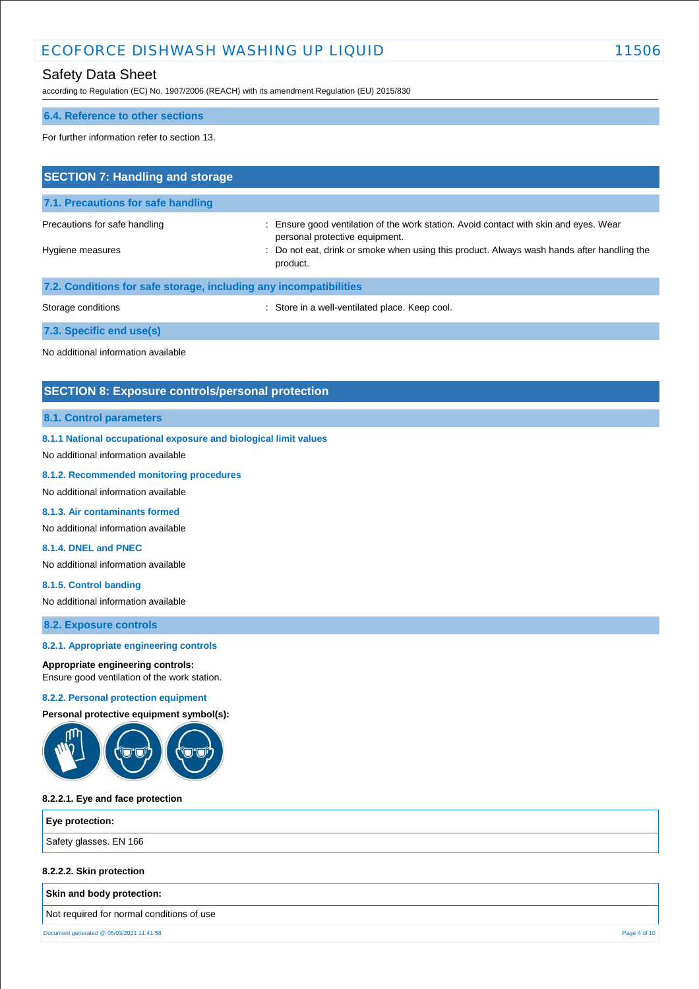# Safety Data Sheet

according to Regulation (EC) No. 1907/2006 (REACH) with its amendment Regulation (EU) 2015/830

#### **6.4. Reference to other sections**

For further information refer to section 13.

| <b>SECTION 7: Handling and storage</b>                            |                                                                                                                         |  |
|-------------------------------------------------------------------|-------------------------------------------------------------------------------------------------------------------------|--|
| 7.1. Precautions for safe handling                                |                                                                                                                         |  |
| Precautions for safe handling                                     | : Ensure good ventilation of the work station. Avoid contact with skin and eyes. Wear<br>personal protective equipment. |  |
| Hygiene measures                                                  | : Do not eat, drink or smoke when using this product. Always wash hands after handling the<br>product.                  |  |
| 7.2. Conditions for safe storage, including any incompatibilities |                                                                                                                         |  |
| Storage conditions                                                | : Store in a well-ventilated place. Keep cool.                                                                          |  |
| 7.3. Specific end use(s)                                          |                                                                                                                         |  |
| No additional information available                               |                                                                                                                         |  |

# **SECTION 8: Exposure controls/personal protection**

## **8.1. Control parameters**

**8.1.1 National occupational exposure and biological limit values** 

No additional information available

#### **8.1.2. Recommended monitoring procedures**

- No additional information available
- **8.1.3. Air contaminants formed**

No additional information available

## **8.1.4. DNEL and PNEC**

No additional information available

#### **8.1.5. Control banding**

No additional information available

**8.2. Exposure controls**

#### **8.2.1. Appropriate engineering controls**

#### **Appropriate engineering controls:**

Ensure good ventilation of the work station.

#### **8.2.2. Personal protection equipment**

**Personal protective equipment symbol(s):**



#### **8.2.2.1. Eye and face protection**

**Eye protection:**

Safety glasses. EN 166

# **8.2.2.2. Skin protection**

**Skin and body protection:**

Not required for normal conditions of use

Document generated @ 05/03/2021 11:41:58 Page 4 of 10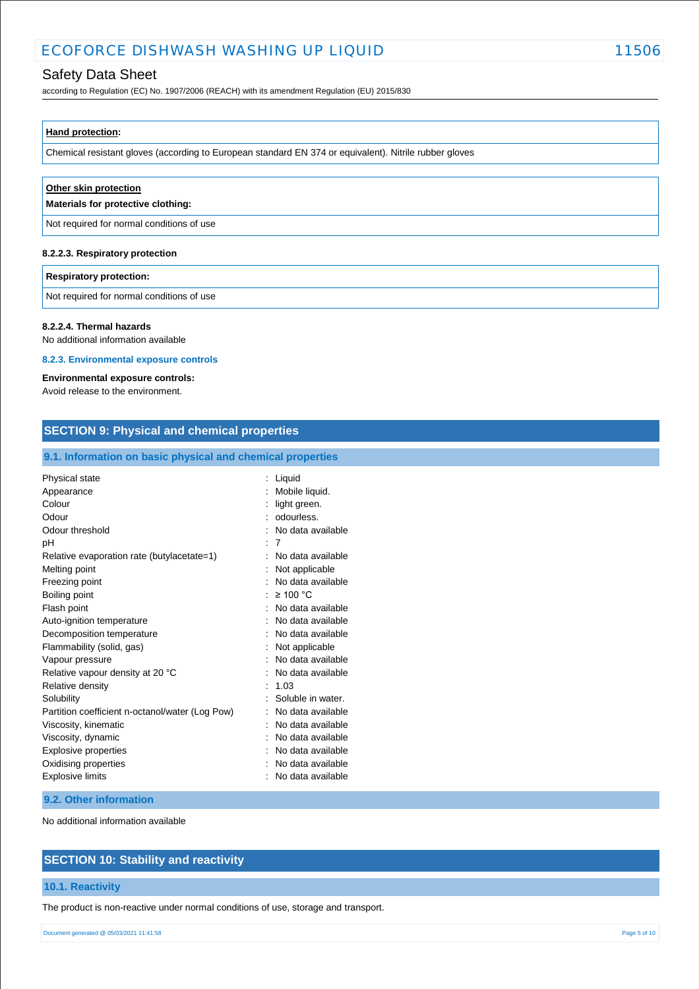# Safety Data Sheet

according to Regulation (EC) No. 1907/2006 (REACH) with its amendment Regulation (EU) 2015/830

## **Hand protection:**

Chemical resistant gloves (according to European standard EN 374 or equivalent). Nitrile rubber gloves

| Other skin protection<br>Materials for protective clothing: |  |  |
|-------------------------------------------------------------|--|--|
| Not required for normal conditions of use                   |  |  |
| 8.2.2.3. Respiratory protection                             |  |  |
| <b>Respiratory protection:</b>                              |  |  |

Not required for normal conditions of use

#### **8.2.2.4. Thermal hazards**

No additional information available

#### **8.2.3. Environmental exposure controls**

#### **Environmental exposure controls:**

Avoid release to the environment.

| <b>SECTION 9: Physical and chemical properties</b><br>9.1. Information on basic physical and chemical properties |                     |  |
|------------------------------------------------------------------------------------------------------------------|---------------------|--|
|                                                                                                                  |                     |  |
| Appearance                                                                                                       | : Mobile liquid.    |  |
| Colour                                                                                                           | light green.        |  |
| Odour                                                                                                            | : odourless.        |  |
| Odour threshold                                                                                                  | : No data available |  |
| рH                                                                                                               | : 7                 |  |
| Relative evaporation rate (butylacetate=1)                                                                       | No data available   |  |
| Melting point                                                                                                    | : Not applicable    |  |
| Freezing point                                                                                                   | No data available   |  |
| Boiling point                                                                                                    | : $\geq 100$ °C     |  |
| Flash point                                                                                                      | : No data available |  |
| Auto-ignition temperature                                                                                        | No data available   |  |
| Decomposition temperature                                                                                        | : No data available |  |
| Flammability (solid, gas)                                                                                        | Not applicable      |  |
| Vapour pressure                                                                                                  | No data available   |  |
| Relative vapour density at 20 °C                                                                                 | No data available   |  |
| Relative density                                                                                                 | 1.03                |  |
| Solubility                                                                                                       | Soluble in water.   |  |
| Partition coefficient n-octanol/water (Log Pow)                                                                  | : No data available |  |
| Viscosity, kinematic                                                                                             | No data available   |  |
| Viscosity, dynamic                                                                                               | : No data available |  |
| <b>Explosive properties</b>                                                                                      | No data available   |  |
| Oxidising properties                                                                                             | : No data available |  |
| <b>Explosive limits</b>                                                                                          | : No data available |  |
| 9.2. Other information                                                                                           |                     |  |

No additional information available

# **SECTION 10: Stability and reactivity**

#### **10.1. Reactivity**

The product is non-reactive under normal conditions of use, storage and transport.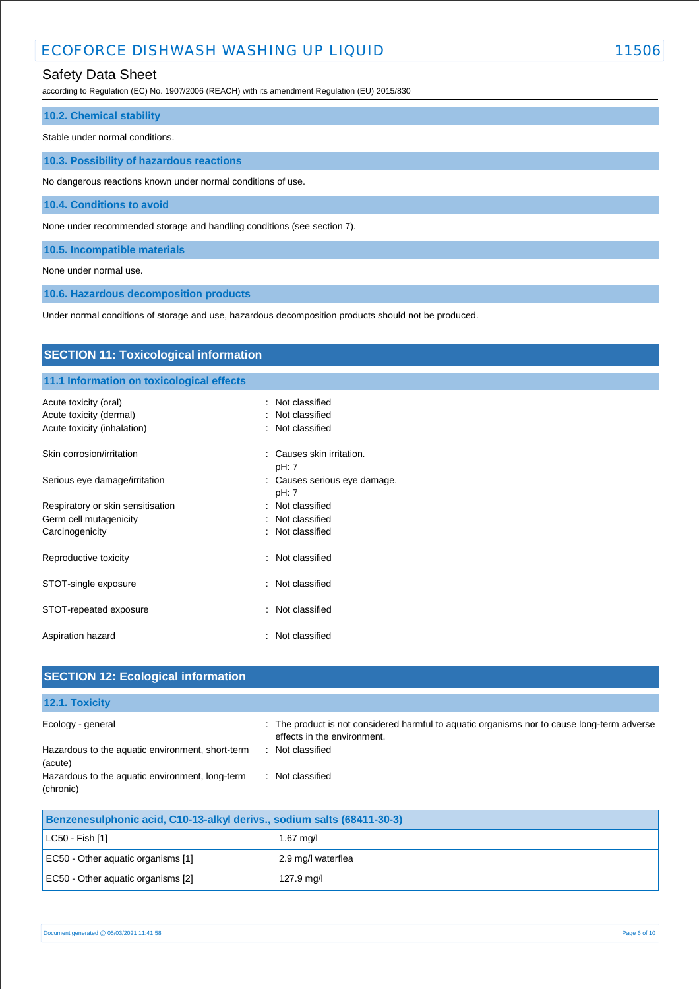# Safety Data Sheet

according to Regulation (EC) No. 1907/2006 (REACH) with its amendment Regulation (EU) 2015/830

## **10.2. Chemical stability**

Stable under normal conditions.

**10.3. Possibility of hazardous reactions**

No dangerous reactions known under normal conditions of use.

**10.4. Conditions to avoid**

None under recommended storage and handling conditions (see section 7).

**10.5. Incompatible materials**

None under normal use.

**10.6. Hazardous decomposition products**

Under normal conditions of storage and use, hazardous decomposition products should not be produced.

| <b>SECTION 11: Toxicological information</b> |                                       |  |
|----------------------------------------------|---------------------------------------|--|
| 11.1 Information on toxicological effects    |                                       |  |
| Acute toxicity (oral)                        | : Not classified                      |  |
| Acute toxicity (dermal)                      | Not classified                        |  |
| Acute toxicity (inhalation)                  | : Not classified                      |  |
| Skin corrosion/irritation                    | Causes skin irritation.<br>pH: 7      |  |
| Serious eye damage/irritation                | : Causes serious eye damage.<br>pH: 7 |  |
| Respiratory or skin sensitisation            | : Not classified                      |  |
| Germ cell mutagenicity                       | : Not classified                      |  |
| Carcinogenicity                              | : Not classified                      |  |
| Reproductive toxicity                        | : Not classified                      |  |
| STOT-single exposure                         | Not classified                        |  |
| STOT-repeated exposure                       | Not classified<br>÷                   |  |
| Aspiration hazard                            | Not classified<br>÷                   |  |
|                                              |                                       |  |

| <b>SECTION 12: Ecological information</b>                    |                                                                                                                            |  |
|--------------------------------------------------------------|----------------------------------------------------------------------------------------------------------------------------|--|
| 12.1. Toxicity                                               |                                                                                                                            |  |
| Ecology - general                                            | : The product is not considered harmful to aquatic organisms nor to cause long-term adverse<br>effects in the environment. |  |
| Hazardous to the aquatic environment, short-term<br>(acute)  | : Not classified                                                                                                           |  |
| Hazardous to the aquatic environment, long-term<br>(chronic) | : Not classified                                                                                                           |  |

| Benzenesulphonic acid, C10-13-alkyl derivs., sodium salts (68411-30-3) |                    |
|------------------------------------------------------------------------|--------------------|
| LC50 - Fish [1]                                                        | $1.67$ mg/l        |
| EC50 - Other aquatic organisms [1]                                     | 2.9 mg/l waterflea |
| EC50 - Other aquatic organisms [2]                                     | 127.9 mg/l         |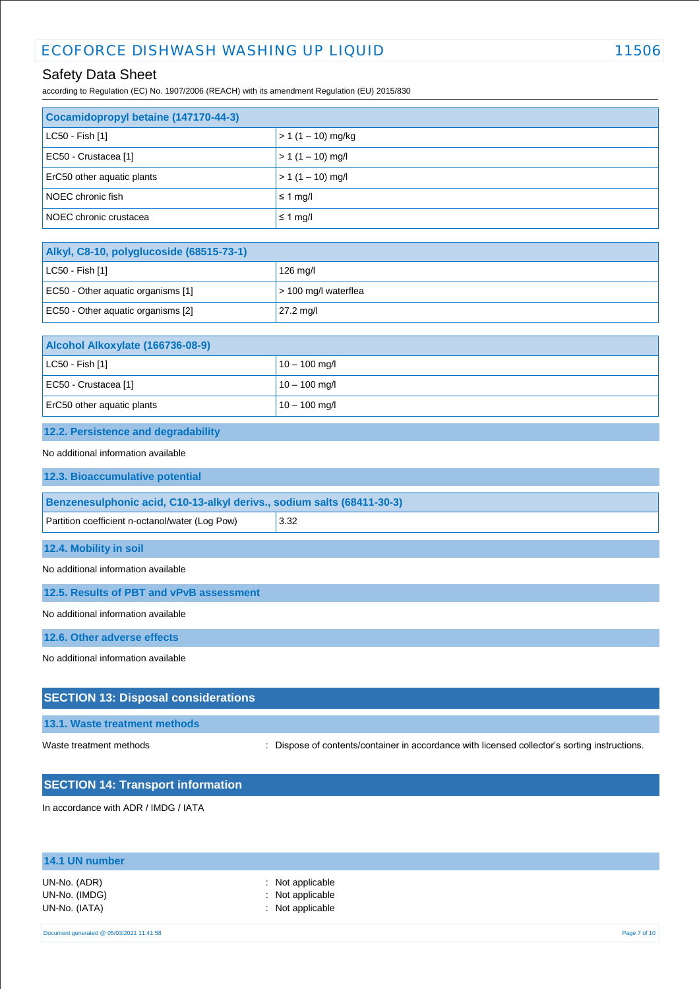# Safety Data Sheet

according to Regulation (EC) No. 1907/2006 (REACH) with its amendment Regulation (EU) 2015/830

| Cocamidopropyl betaine (147170-44-3) |                     |  |
|--------------------------------------|---------------------|--|
| $ $ LC50 - Fish [1]                  | $> 1(1 - 10)$ mg/kg |  |
| EC50 - Crustacea [1]                 | $> 1(1 - 10)$ mg/l  |  |
| ErC50 other aquatic plants           | $> 1(1 - 10)$ mg/l  |  |
| NOEC chronic fish                    | $\leq 1$ mg/        |  |
| NOEC chronic crustacea               | $\leq 1$ mg/l       |  |

| Alkyl, C8-10, polyglucoside (68515-73-1) |                           |
|------------------------------------------|---------------------------|
| $ $ LC50 - Fish [1]                      | 126 mg/l                  |
| EC50 - Other aquatic organisms [1]       | $\geq 100$ mg/l waterflea |
| EC50 - Other aquatic organisms [2]       | $27.2 \text{ mg/l}$       |

| Alcohol Alkoxylate (166736-08-9) |                 |
|----------------------------------|-----------------|
| $ $ LC50 - Fish [1]              | $10 - 100$ mg/l |
| EC50 - Crustacea [1]             | $10 - 100$ mg/l |
| ErC50 other aquatic plants       | $10 - 100$ mg/l |

# **12.2. Persistence and degradability**

#### No additional information available

| 12.3. Bioaccumulative potential                                        |      |  |
|------------------------------------------------------------------------|------|--|
| Benzenesulphonic acid, C10-13-alkyl derivs., sodium salts (68411-30-3) |      |  |
|                                                                        |      |  |
| Partition coefficient n-octanol/water (Log Pow)                        | 3.32 |  |
|                                                                        |      |  |

**12.4. Mobility in soil**

No additional information available

**12.5. Results of PBT and vPvB assessment**

No additional information available

**12.6. Other adverse effects**

No additional information available

# **SECTION 13: Disposal considerations**

#### **13.1. Waste treatment methods**

Waste treatment methods : Dispose of contents/container in accordance with licensed collector's sorting instructions.

# **SECTION 14: Transport information**

In accordance with ADR / IMDG / IATA

| 14.1 UN number                                 |                                                                     |  |
|------------------------------------------------|---------------------------------------------------------------------|--|
| UN-No. (ADR)<br>UN-No. (IMDG)<br>UN-No. (IATA) | : Not applicable<br>: Not applicable<br>$\therefore$ Not applicable |  |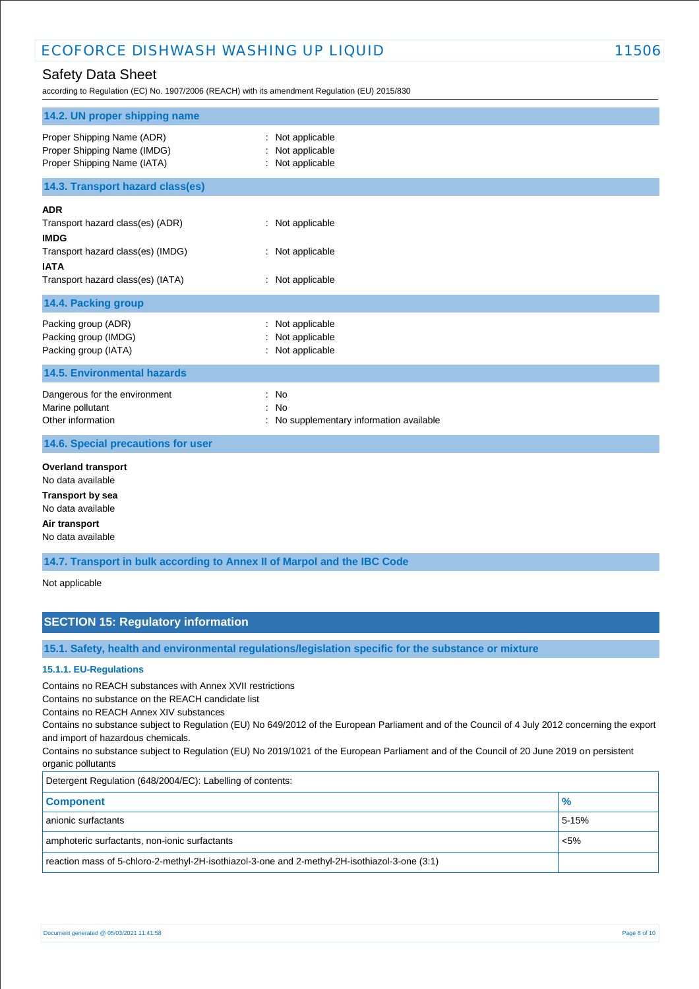according to Regulation (EC) No. 1907/2006 (REACH) with its amendment Regulation (EU) 2015/830

| 14.2. UN proper shipping name                                                                                                                          |                                                          |
|--------------------------------------------------------------------------------------------------------------------------------------------------------|----------------------------------------------------------|
| Proper Shipping Name (ADR)<br>Proper Shipping Name (IMDG)<br>Proper Shipping Name (IATA)                                                               | Not applicable<br>: Not applicable<br>: Not applicable   |
| 14.3. Transport hazard class(es)                                                                                                                       |                                                          |
| <b>ADR</b><br>Transport hazard class(es) (ADR)<br><b>IMDG</b><br>Transport hazard class(es) (IMDG)<br><b>IATA</b><br>Transport hazard class(es) (IATA) | : Not applicable<br>: Not applicable<br>: Not applicable |
| 14.4. Packing group                                                                                                                                    |                                                          |
| Packing group (ADR)<br>Packing group (IMDG)<br>Packing group (IATA)                                                                                    | : Not applicable<br>Not applicable<br>: Not applicable   |
| <b>14.5. Environmental hazards</b>                                                                                                                     |                                                          |
| Dangerous for the environment<br>Marine pollutant<br>Other information                                                                                 | : No<br>: No<br>No supplementary information available   |
| 14.6. Special precautions for user                                                                                                                     |                                                          |
| <b>Overland transport</b><br>No data available<br><b>Transport by sea</b><br>No data available<br>Air transport<br>No data available                   |                                                          |

**14.7. Transport in bulk according to Annex II of Marpol and the IBC Code**

Not applicable

# **SECTION 15: Regulatory information**

**15.1. Safety, health and environmental regulations/legislation specific for the substance or mixture**

#### **15.1.1. EU-Regulations**

Contains no REACH substances with Annex XVII restrictions

Contains no substance on the REACH candidate list

Contains no REACH Annex XIV substances

Contains no substance subject to Regulation (EU) No 649/2012 of the European Parliament and of the Council of 4 July 2012 concerning the export and import of hazardous chemicals.

Contains no substance subject to Regulation (EU) No 2019/1021 of the European Parliament and of the Council of 20 June 2019 on persistent organic pollutants

| Detergent Regulation (648/2004/EC): Labelling of contents:                                    |               |  |
|-----------------------------------------------------------------------------------------------|---------------|--|
| <b>Component</b>                                                                              | $\frac{9}{6}$ |  |
| anionic surfactants                                                                           | 5-15%         |  |
| amphoteric surfactants, non-ionic surfactants                                                 | $< 5\%$       |  |
| reaction mass of 5-chloro-2-methyl-2H-isothiazol-3-one and 2-methyl-2H-isothiazol-3-one (3:1) |               |  |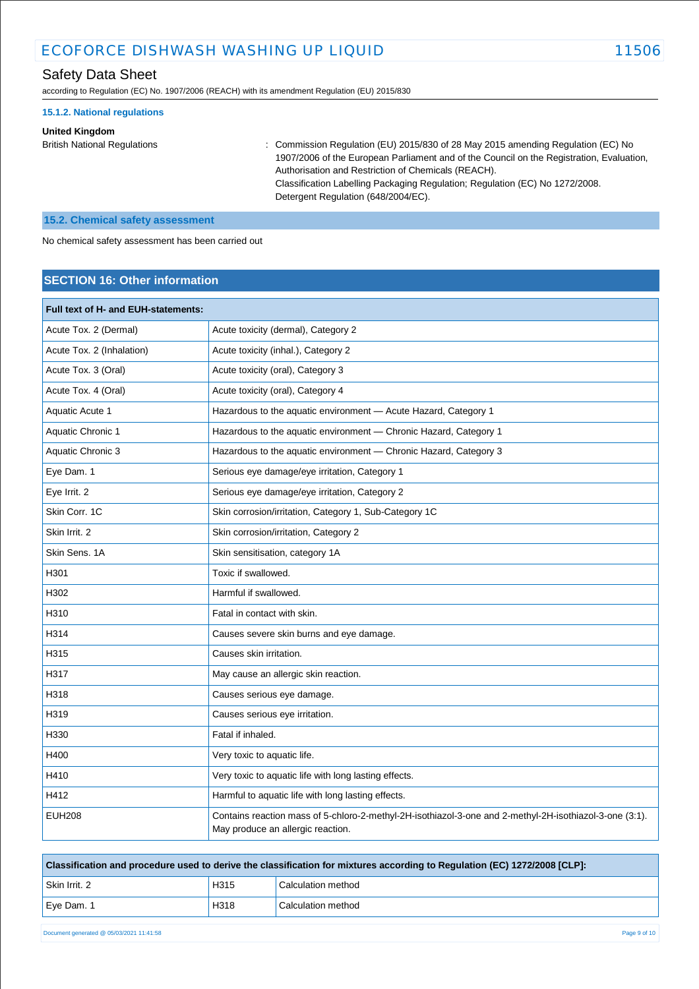according to Regulation (EC) No. 1907/2006 (REACH) with its amendment Regulation (EU) 2015/830

#### **15.1.2. National regulations**

#### **United Kingdom**

British National Regulations : Commission Regulation (EU) 2015/830 of 28 May 2015 amending Regulation (EC) No 1907/2006 of the European Parliament and of the Council on the Registration, Evaluation, Authorisation and Restriction of Chemicals (REACH). Classification Labelling Packaging Regulation; Regulation (EC) No 1272/2008. Detergent Regulation (648/2004/EC).

### **15.2. Chemical safety assessment**

No chemical safety assessment has been carried out

# **SECTION 16: Other information**

| Full text of H- and EUH-statements: |                                                                                                                                              |  |  |
|-------------------------------------|----------------------------------------------------------------------------------------------------------------------------------------------|--|--|
| Acute Tox. 2 (Dermal)               | Acute toxicity (dermal), Category 2                                                                                                          |  |  |
| Acute Tox. 2 (Inhalation)           | Acute toxicity (inhal.), Category 2                                                                                                          |  |  |
| Acute Tox. 3 (Oral)                 | Acute toxicity (oral), Category 3                                                                                                            |  |  |
| Acute Tox. 4 (Oral)                 | Acute toxicity (oral), Category 4                                                                                                            |  |  |
| Aquatic Acute 1                     | Hazardous to the aquatic environment - Acute Hazard, Category 1                                                                              |  |  |
| Aquatic Chronic 1                   | Hazardous to the aquatic environment - Chronic Hazard, Category 1                                                                            |  |  |
| Aquatic Chronic 3                   | Hazardous to the aquatic environment - Chronic Hazard, Category 3                                                                            |  |  |
| Eye Dam. 1                          | Serious eye damage/eye irritation, Category 1                                                                                                |  |  |
| Eye Irrit. 2                        | Serious eye damage/eye irritation, Category 2                                                                                                |  |  |
| Skin Corr, 1C                       | Skin corrosion/irritation, Category 1, Sub-Category 1C                                                                                       |  |  |
| Skin Irrit. 2                       | Skin corrosion/irritation, Category 2                                                                                                        |  |  |
| Skin Sens, 1A                       | Skin sensitisation, category 1A                                                                                                              |  |  |
| H301                                | Toxic if swallowed.                                                                                                                          |  |  |
| H302                                | Harmful if swallowed.                                                                                                                        |  |  |
| H310                                | Fatal in contact with skin.                                                                                                                  |  |  |
| H314                                | Causes severe skin burns and eye damage.                                                                                                     |  |  |
| H315                                | Causes skin irritation.                                                                                                                      |  |  |
| H317                                | May cause an allergic skin reaction.                                                                                                         |  |  |
| H318                                | Causes serious eye damage.                                                                                                                   |  |  |
| H319                                | Causes serious eye irritation.                                                                                                               |  |  |
| H330                                | Fatal if inhaled.                                                                                                                            |  |  |
| H400                                | Very toxic to aquatic life.                                                                                                                  |  |  |
| H410                                | Very toxic to aquatic life with long lasting effects.                                                                                        |  |  |
| H412                                | Harmful to aquatic life with long lasting effects.                                                                                           |  |  |
| <b>EUH208</b>                       | Contains reaction mass of 5-chloro-2-methyl-2H-isothiazol-3-one and 2-methyl-2H-isothiazol-3-one (3:1).<br>May produce an allergic reaction. |  |  |

| Classification and procedure used to derive the classification for mixtures according to Regulation (EC) 1272/2008 [CLP]: |      |                    |  |  |
|---------------------------------------------------------------------------------------------------------------------------|------|--------------------|--|--|
| Skin Irrit. 2                                                                                                             | H315 | Calculation method |  |  |
| Eye Dam. 1                                                                                                                | H318 | Calculation method |  |  |